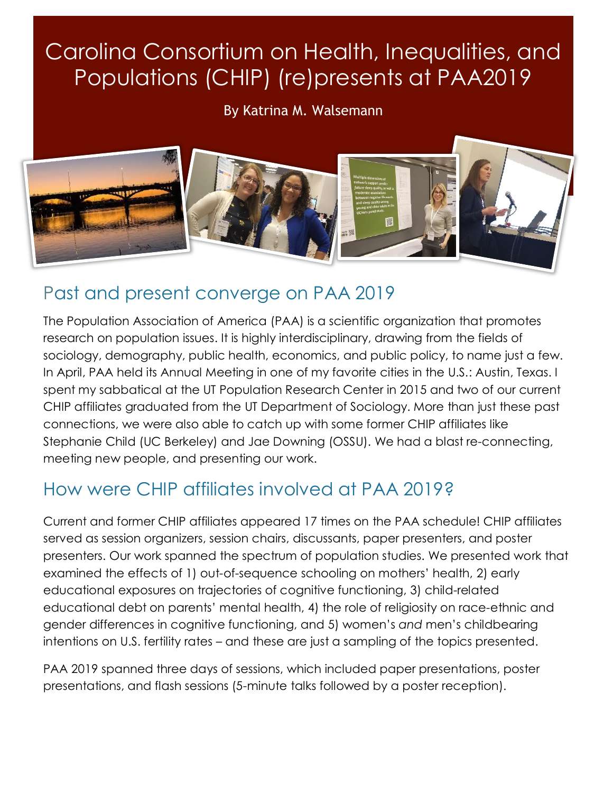# Carolina Consortium on Health, Inequalities, and Populations (CHIP) (re)presents at PAA2019

By Katrina M. Walsemann



## Past and present converge on PAA 2019

The Population Association of America (PAA) is a scientific organization that promotes research on population issues. It is highly interdisciplinary, drawing from the fields of sociology, demography, public health, economics, and public policy, to name just a few. In April, PAA held its Annual Meeting in one of my favorite cities in the U.S.: Austin, Texas. I spent my sabbatical at the UT Population Research Center in 2015 and two of our current CHIP affiliates graduated from the UT Department of Sociology. More than just these past connections, we were also able to catch up with some former CHIP affiliates like Stephanie Child (UC Berkeley) and Jae Downing (OSSU). We had a blast re-connecting, meeting new people, and presenting our work.

## How were CHIP affiliates involved at PAA 2019?

Current and former CHIP affiliates appeared 17 times on the PAA schedule! CHIP affiliates served as session organizers, session chairs, discussants, paper presenters, and poster presenters. Our work spanned the spectrum of population studies. We presented work that examined the effects of 1) out-of-sequence schooling on mothers' health, 2) early educational exposures on trajectories of cognitive functioning, 3) child-related educational debt on parents' mental health, 4) the role of religiosity on race-ethnic and gender differences in cognitive functioning, and 5) women's *and* men's childbearing intentions on U.S. fertility rates – and these are just a sampling of the topics presented.

PAA 2019 spanned three days of sessions, which included paper presentations, poster presentations, and flash sessions (5-minute talks followed by a poster reception).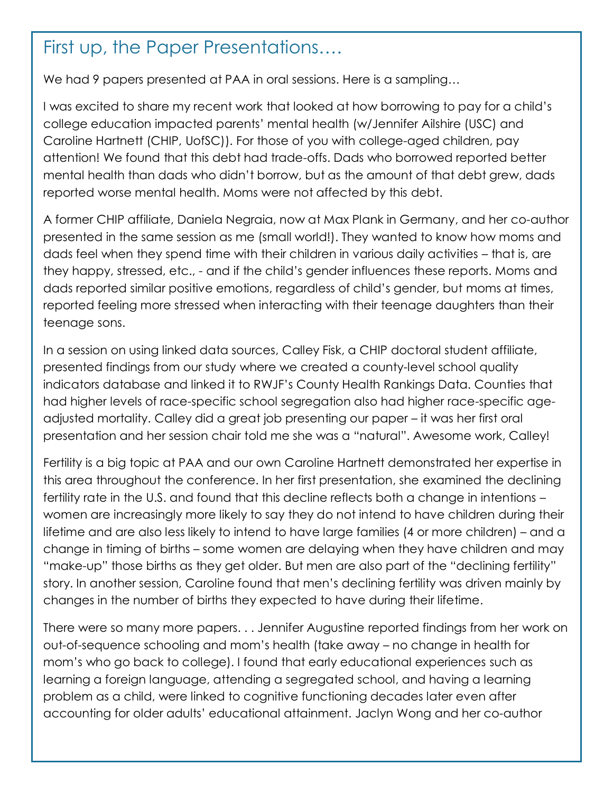#### First up, the Paper Presentations….

We had 9 papers presented at PAA in oral sessions. Here is a sampling...

I was excited to share my recent work that looked at how borrowing to pay for a child's college education impacted parents' mental health (w/Jennifer Ailshire (USC) and Caroline Hartnett (CHIP, UofSC)). For those of you with college-aged children, pay attention! We found that this debt had trade-offs. Dads who borrowed reported better mental health than dads who didn't borrow, but as the amount of that debt grew, dads reported worse mental health. Moms were not affected by this debt.

A former CHIP affiliate, Daniela Negraia, now at Max Plank in Germany, and her co-author presented in the same session as me (small world!). They wanted to know how moms and dads feel when they spend time with their children in various daily activities – that is, are they happy, stressed, etc., - and if the child's gender influences these reports. Moms and dads reported similar positive emotions, regardless of child's gender, but moms at times, reported feeling more stressed when interacting with their teenage daughters than their teenage sons.

In a session on using linked data sources, Calley Fisk, a CHIP doctoral student affiliate, presented findings from our study where we created a county-level school quality indicators database and linked it to RWJF's County Health Rankings Data. Counties that had higher levels of race-specific school segregation also had higher race-specific ageadjusted mortality. Calley did a great job presenting our paper – it was her first oral presentation and her session chair told me she was a "natural". Awesome work, Calley!

Fertility is a big topic at PAA and our own Caroline Hartnett demonstrated her expertise in this area throughout the conference. In her first presentation, she examined the declining fertility rate in the U.S. and found that this decline reflects both a change in intentions – women are increasingly more likely to say they do not intend to have children during their lifetime and are also less likely to intend to have large families (4 or more children) – and a change in timing of births – some women are delaying when they have children and may "make-up" those births as they get older. But men are also part of the "declining fertility" story. In another session, Caroline found that men's declining fertility was driven mainly by changes in the number of births they expected to have during their lifetime.

There were so many more papers. . . Jennifer Augustine reported findings from her work on out-of-sequence schooling and mom's health (take away – no change in health for mom's who go back to college). I found that early educational experiences such as learning a foreign language, attending a segregated school, and having a learning problem as a child, were linked to cognitive functioning decades later even after accounting for older adults' educational attainment. Jaclyn Wong and her co-author